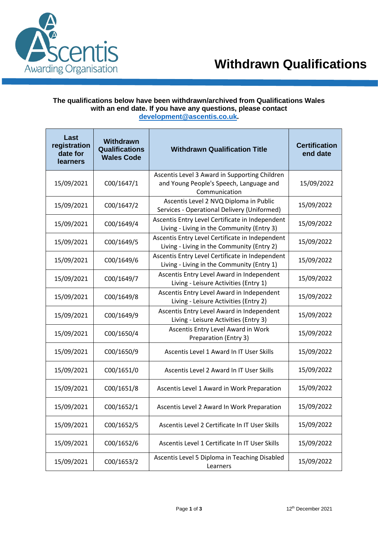

## **The qualifications below have been withdrawn/archived from Qualifications Wales with an end date. If you have any questions, please contact [development@ascentis.co.uk.](mailto:development@ascentis.co.uk)**

| Last<br>registration<br>date for<br><b>learners</b> | Withdrawn<br><b>Qualifications</b><br><b>Wales Code</b> | <b>Withdrawn Qualification Title</b>                                                                      | <b>Certification</b><br>end date |
|-----------------------------------------------------|---------------------------------------------------------|-----------------------------------------------------------------------------------------------------------|----------------------------------|
| 15/09/2021                                          | C00/1647/1                                              | Ascentis Level 3 Award in Supporting Children<br>and Young People's Speech, Language and<br>Communication | 15/09/2022                       |
| 15/09/2021                                          | C00/1647/2                                              | Ascentis Level 2 NVQ Diploma in Public<br>Services - Operational Delivery (Uniformed)                     | 15/09/2022                       |
| 15/09/2021                                          | C00/1649/4                                              | Ascentis Entry Level Certificate in Independent<br>Living - Living in the Community (Entry 3)             | 15/09/2022                       |
| 15/09/2021                                          | C00/1649/5                                              | Ascentis Entry Level Certificate in Independent<br>Living - Living in the Community (Entry 2)             | 15/09/2022                       |
| 15/09/2021                                          | C00/1649/6                                              | Ascentis Entry Level Certificate in Independent<br>Living - Living in the Community (Entry 1)             | 15/09/2022                       |
| 15/09/2021                                          | C00/1649/7                                              | Ascentis Entry Level Award in Independent<br>Living - Leisure Activities (Entry 1)                        | 15/09/2022                       |
| 15/09/2021                                          | C00/1649/8                                              | Ascentis Entry Level Award in Independent<br>Living - Leisure Activities (Entry 2)                        | 15/09/2022                       |
| 15/09/2021                                          | C00/1649/9                                              | Ascentis Entry Level Award in Independent<br>Living - Leisure Activities (Entry 3)                        | 15/09/2022                       |
| 15/09/2021                                          | C00/1650/4                                              | Ascentis Entry Level Award in Work<br>Preparation (Entry 3)                                               | 15/09/2022                       |
| 15/09/2021                                          | C00/1650/9                                              | Ascentis Level 1 Award In IT User Skills                                                                  | 15/09/2022                       |
| 15/09/2021                                          | C00/1651/0                                              | Ascentis Level 2 Award In IT User Skills                                                                  | 15/09/2022                       |
| 15/09/2021                                          | C00/1651/8                                              | Ascentis Level 1 Award in Work Preparation                                                                | 15/09/2022                       |
| 15/09/2021                                          | C00/1652/1                                              | Ascentis Level 2 Award In Work Preparation                                                                | 15/09/2022                       |
| 15/09/2021                                          | C00/1652/5                                              | Ascentis Level 2 Certificate In IT User Skills                                                            | 15/09/2022                       |
| 15/09/2021                                          | C00/1652/6                                              | Ascentis Level 1 Certificate In IT User Skills                                                            | 15/09/2022                       |
| 15/09/2021                                          | C00/1653/2                                              | Ascentis Level 5 Diploma in Teaching Disabled<br>Learners                                                 | 15/09/2022                       |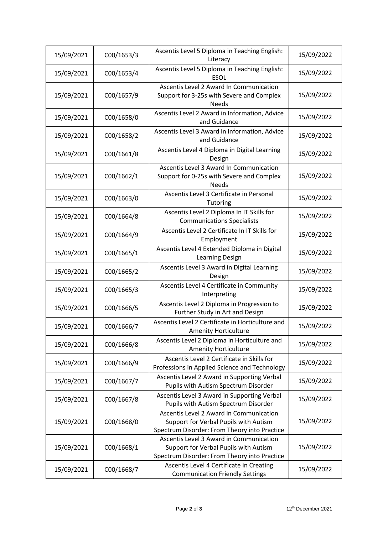| 15/09/2021 | C00/1653/3 | Ascentis Level 5 Diploma in Teaching English:<br>Literacy                                                                        | 15/09/2022 |
|------------|------------|----------------------------------------------------------------------------------------------------------------------------------|------------|
| 15/09/2021 | C00/1653/4 | Ascentis Level 5 Diploma in Teaching English:<br><b>ESOL</b>                                                                     | 15/09/2022 |
| 15/09/2021 | C00/1657/9 | Ascentis Level 2 Award In Communication<br>Support for 3-25s with Severe and Complex<br><b>Needs</b>                             | 15/09/2022 |
| 15/09/2021 | C00/1658/0 | Ascentis Level 2 Award in Information, Advice<br>and Guidance                                                                    | 15/09/2022 |
| 15/09/2021 | C00/1658/2 | Ascentis Level 3 Award in Information, Advice<br>and Guidance                                                                    | 15/09/2022 |
| 15/09/2021 | C00/1661/8 | Ascentis Level 4 Diploma in Digital Learning<br>Design                                                                           | 15/09/2022 |
| 15/09/2021 | C00/1662/1 | Ascentis Level 3 Award In Communication<br>Support for 0-25s with Severe and Complex<br><b>Needs</b>                             | 15/09/2022 |
| 15/09/2021 | C00/1663/0 | Ascentis Level 3 Certificate in Personal<br>Tutoring                                                                             | 15/09/2022 |
| 15/09/2021 | C00/1664/8 | Ascentis Level 2 Diploma In IT Skills for<br><b>Communications Specialists</b>                                                   | 15/09/2022 |
| 15/09/2021 | C00/1664/9 | Ascentis Level 2 Certificate In IT Skills for<br>Employment                                                                      | 15/09/2022 |
| 15/09/2021 | C00/1665/1 | Ascentis Level 4 Extended Diploma in Digital<br>Learning Design                                                                  | 15/09/2022 |
| 15/09/2021 | C00/1665/2 | Ascentis Level 3 Award in Digital Learning<br>Design                                                                             | 15/09/2022 |
| 15/09/2021 | C00/1665/3 | Ascentis Level 4 Certificate in Community<br>Interpreting                                                                        | 15/09/2022 |
| 15/09/2021 | C00/1666/5 | Ascentis Level 2 Diploma in Progression to<br>Further Study in Art and Design                                                    | 15/09/2022 |
| 15/09/2021 | C00/1666/7 | Ascentis Level 2 Certificate in Horticulture and<br><b>Amenity Horticulture</b>                                                  | 15/09/2022 |
| 15/09/2021 | C00/1666/8 | Ascentis Level 2 Diploma in Horticulture and<br><b>Amenity Horticulture</b>                                                      | 15/09/2022 |
| 15/09/2021 | C00/1666/9 | Ascentis Level 2 Certificate in Skills for<br>Professions in Applied Science and Technology                                      | 15/09/2022 |
| 15/09/2021 | C00/1667/7 | Ascentis Level 2 Award in Supporting Verbal<br>Pupils with Autism Spectrum Disorder                                              | 15/09/2022 |
| 15/09/2021 | C00/1667/8 | Ascentis Level 3 Award in Supporting Verbal<br>Pupils with Autism Spectrum Disorder                                              | 15/09/2022 |
| 15/09/2021 | C00/1668/0 | Ascentis Level 2 Award in Communication<br>Support for Verbal Pupils with Autism<br>Spectrum Disorder: From Theory into Practice | 15/09/2022 |
| 15/09/2021 | C00/1668/1 | Ascentis Level 3 Award in Communication<br>Support for Verbal Pupils with Autism<br>Spectrum Disorder: From Theory into Practice | 15/09/2022 |
| 15/09/2021 | C00/1668/7 | Ascentis Level 4 Certificate in Creating<br><b>Communication Friendly Settings</b>                                               | 15/09/2022 |